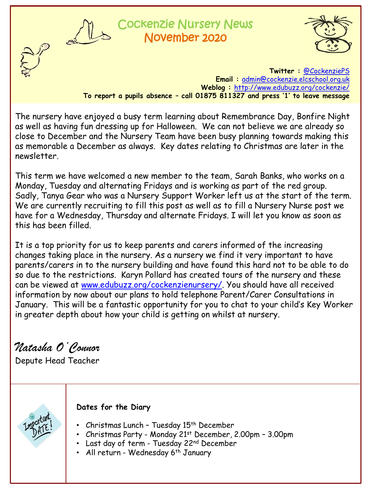

# ockenzie Nursery News November 2020



**Twitter :** [@CockenziePS](https://twitter.com/CockenziePS) **Email :** [admin@cockenzie.elcschool.org.uk](mailto:admin@cockenzie.elcschool.org.uk) **Weblog :** <http://www.edubuzz.org/cockenzie/> **To report a pupils absence – call 01875 811327 and press '1' to leave message**

The nursery have enjoyed a busy term learning about Remembrance Day, Bonfire Night as well as having fun dressing up for Halloween. We can not believe we are already so close to December and the Nursery Team have been busy planning towards making this as memorable a December as always. Key dates relating to Christmas are later in the newsletter.

This term we have welcomed a new member to the team, Sarah Banks, who works on a Monday, Tuesday and alternating Fridays and is working as part of the red group. Sadly, Tanya Gear who was a Nursery Support Worker left us at the start of the term. We are currently recruiting to fill this post as well as to fill a Nursery Nurse post we have for a Wednesday, Thursday and alternate Fridays. I will let you know as soon as this has been filled.

It is a top priority for us to keep parents and carers informed of the increasing changes taking place in the nursery. As a nursery we find it very important to have parents/carers in to the nursery building and have found this hard not to be able to do so due to the restrictions. Karyn Pollard has created tours of the nursery and these can be viewed at [www.edubuzz.org/cockenzienursery/](http://www.edubuzz.org/cockenzienursery/). You should have all received information by now about our plans to hold telephone Parent/Carer Consultations in January. This will be a fantastic opportunity for you to chat to your child's Key Worker in greater depth about how your child is getting on whilst at nursery.

*Natasha O'Connor*

Depute Head Teacher



## **Dates for the Diary**

- Christmas Lunch Tuesday 15<sup>th</sup> December
- Christmas Party Monday 21<sup>st</sup> December, 2.00pm 3.00pm
- Last day of term Tuesday 22nd December
- All return Wednesday 6<sup>th</sup> January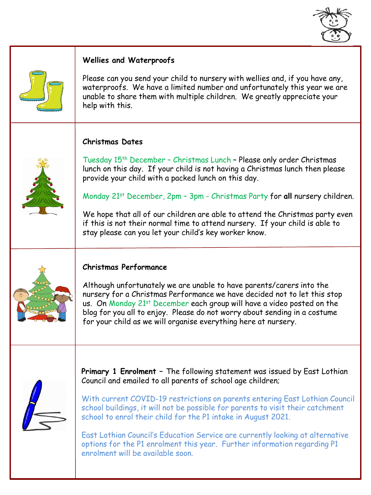



#### **Wellies and Waterproofs**

Please can you send your child to nursery with wellies and, if you have any, waterproofs. We have a limited number and unfortunately this year we are unable to share them with multiple children. We greatly appreciate your help with this.

### **Christmas Dates**



Tuesday 15th December – Christmas Lunch – Please only order Christmas lunch on this day. If your child is not having a Christmas lunch then please provide your child with a packed lunch on this day.

Monday 21st December, 2pm – 3pm - Christmas Party for **all** nursery children.

We hope that all of our children are able to attend the Christmas party even if this is not their normal time to attend nursery. If your child is able to stay please can you let your child's key worker know.



## **Christmas Performance**

Although unfortunately we are unable to have parents/carers into the nursery for a Christmas Performance we have decided not to let this stop us. On Monday 21st December each group will have a video posted on the blog for you all to enjoy. Please do not worry about sending in a costume for your child as we will organise everything here at nursery.



**Primary 1 Enrolment –** The following statement was issued by East Lothian Council and emailed to all parents of school age children;

With current COVID-19 restrictions on parents entering East Lothian Council school buildings, it will not be possible for parents to visit their catchment school to enrol their child for the P1 intake in August 2021.

East Lothian Council's Education Service are currently looking at alternative options for the P1 enrolment this year. Further information regarding P1 enrolment will be available soon.